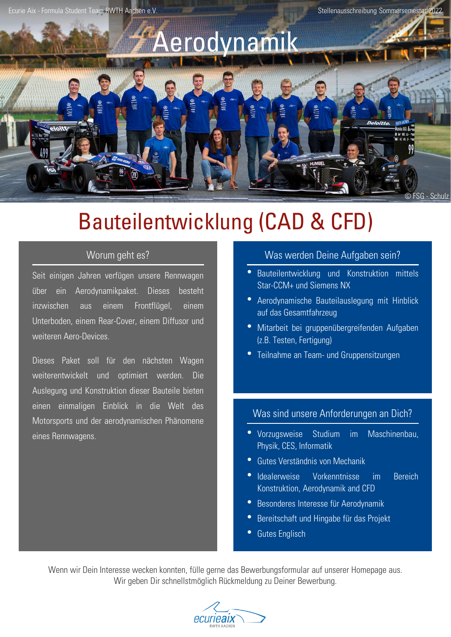Ecurie Aix - Formula Student Team RWTH Aachen e.V. Stellenausschreibung Sommersemester 2022



# Bauteilentwicklung (CAD & CFD)

Seit einigen Jahren verfügen unsere Rennwagen über ein Aerodynamikpaket. Dieses besteht inzwischen aus einem Frontflügel, einem Unterboden, einem Rear-Cover, einem Diffusor und weiteren Aero-Devices.

Dieses Paket soll für den nächsten Wagen weiterentwickelt und optimiert werden. Die Auslegung und Konstruktion dieser Bauteile bieten einen einmaligen Einblick in die Welt des Motorsports und der aerodynamischen Phänomene eines Rennwagens.

## Worum geht es? Was werden Deine Aufgaben sein?

- Bauteilentwicklung und Konstruktion mittels Star-CCM+ und Siemens NX
- Aerodynamische Bauteilauslegung mit Hinblick auf das Gesamtfahrzeug
- Mitarbeit bei gruppenübergreifenden Aufgaben (z.B. Testen, Fertigung)
- Teilnahme an Team- und Gruppensitzungen

### Was sind unsere Anforderungen an Dich?

- Vorzugsweise Studium im Maschinenbau, Physik, CES, Informatik
- Gutes Verständnis von Mechanik
- Idealerweise Vorkenntnisse im Bereich Konstruktion, Aerodynamik and CFD
- Besonderes Interesse für Aerodynamik
- Bereitschaft und Hingabe für das Projekt
- Gutes Englisch

Wenn wir Dein Interesse wecken konnten, fülle gerne das Bewerbungsformular auf unserer Homepage aus. Wir geben Dir schnellstmöglich Rückmeldung zu Deiner Bewerbung.